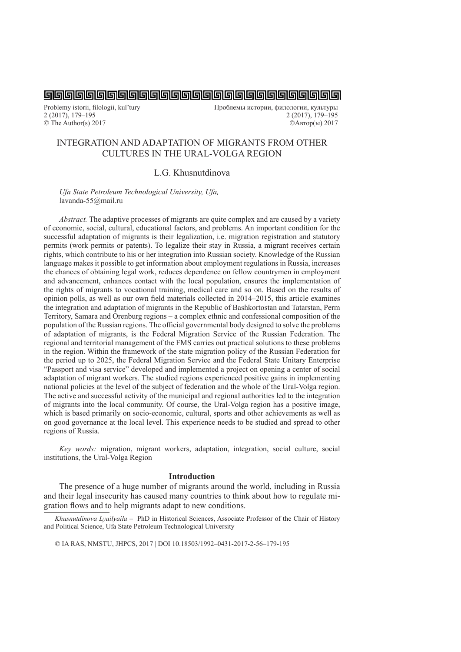Problemy istorii, filologii, kul'tury Проблемы истории, филологии, культуры<br>2 (2017), 179–195 2 (2017), 179–195 2 (2017), 179–195 2 (2017), 179–195 © The Author(s) 2017 ©Автор(ы) 2017

# INTEGRATION AND ADAPTATION OF MIGRANTS FROM OTHER CULTURES IN THE URAL-VOLGA REGION

# L.G. Khusnutdinova

*Ufa State Petroleum Technological University, Ufa,* lavanda-55@mail.ru

*Abstract.* The adaptive processes of migrants are quite complex and are caused by a variety of economic, social, cultural, educational factors, and problems. An important condition for the successful adaptation of migrants is their legalization, i.e. migration registration and statutory permits (work permits or patents). To legalize their stay in Russia, a migrant receives certain rights, which contribute to his or her integration into Russian society. Knowledge of the Russian language makes it possible to get information about employment regulations in Russia, increases the chances of obtaining legal work, reduces dependence on fellow countrymen in employment and advancement, enhances contact with the local population, ensures the implementation of the rights of migrants to vocational training, medical care and so on. Based on the results of opinion polls, as well as our own field materials collected in 2014–2015, this article examines the integration and adaptation of migrants in the Republic of Bashkortostan and Tatarstan, Perm Territory, Samara and Orenburg regions – a complex ethnic and confessional composition of the population of the Russian regions. The official governmental body designed to solve the problems of adaptation of migrants, is the Federal Migration Service of the Russian Federation. The regional and territorial management of the FMS carries out practical solutions to these problems in the region. Within the framework of the state migration policy of the Russian Federation for the period up to 2025, the Federal Migration Service and the Federal State Unitary Enterprise "Passport and visa service" developed and implemented a project on opening a center of social adaptation of migrant workers. The studied regions experienced positive gains in implementing national policies at the level of the subject of federation and the whole of the Ural-Volga region. The active and successful activity of the municipal and regional authorities led to the integration of migrants into the local community. Of course, the Ural-Volga region has a positive image, which is based primarily on socio-economic, cultural, sports and other achievements as well as on good governance at the local level. This experience needs to be studied and spread to other regions of Russia.

*Key words:* migration, migrant workers, adaptation, integration, social culture, social institutions, the Ural-Volga Region

#### **Introduction**

The presence of a huge number of migrants around the world, including in Russia and their legal insecurity has caused many countries to think about how to regulate migration flows and to help migrants adapt to new conditions.

*Khusnutdinova Lyailyaila –* PhD in Historical Sciences, Associate Professor of the Chair of History and Political Science, Ufa State Petroleum Technological University

© IA RAS, NMSTU, JHPCS, 2017 | DOI 10.18503/1992–0431-2017-2-56–179-195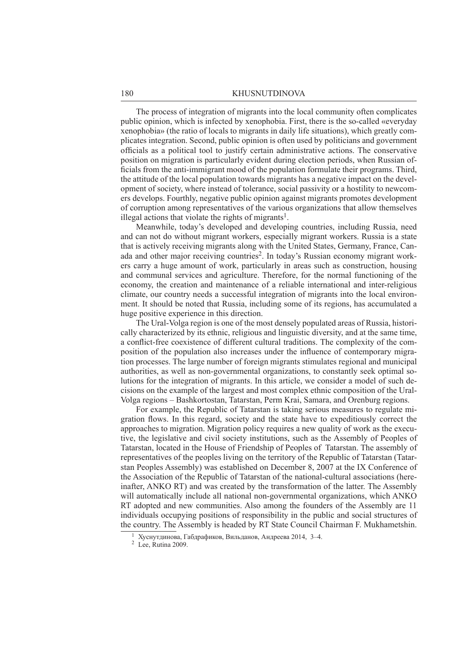The process of integration of migrants into the local community often complicates public opinion, which is infected by xenophobia. First, there is the so-called «everyday xenophobia» (the ratio of locals to migrants in daily life situations), which greatly complicates integration. Second, public opinion is often used by politicians and government officials as a political tool to justify certain administrative actions. The conservative position on migration is particularly evident during election periods, when Russian officials from the anti-immigrant mood of the population formulate their programs. Third, the attitude of the local population towards migrants has a negative impact on the development of society, where instead of tolerance, social passivity or a hostility to newcomers develops. Fourthly, negative public opinion against migrants promotes development of corruption among representatives of the various organizations that allow themselves illegal actions that violate the rights of migrants<sup>1</sup>.

Meanwhile, today's developed and developing countries, including Russia, need and can not do without migrant workers, especially migrant workers. Russia is a state that is actively receiving migrants along with the United States, Germany, France, Canada and other major receiving countries<sup>2</sup>. In today's Russian economy migrant workers carry a huge amount of work, particularly in areas such as construction, housing and communal services and agriculture. Therefore, for the normal functioning of the economy, the creation and maintenance of a reliable international and inter-religious climate, our country needs a successful integration of migrants into the local environment. It should be noted that Russia, including some of its regions, has accumulated a huge positive experience in this direction.

The Ural-Volga region is one of the most densely populated areas of Russia, historically characterized by its ethnic, religious and linguistic diversity, and at the same time, a conflict-free coexistence of different cultural traditions. The complexity of the composition of the population also increases under the influence of contemporary migration processes. The large number of foreign migrants stimulates regional and municipal authorities, as well as non-governmental organizations, to constantly seek optimal solutions for the integration of migrants. In this article, we consider a model of such decisions on the example of the largest and most complex ethnic composition of the Ural-Volga regions – Bashkortostan, Tatarstan, Perm Krai, Samara, and Orenburg regions.

For example, the Republic of Tatarstan is taking serious measures to regulate migration flows. In this regard, society and the state have to expeditiously correct the approaches to migration. Migration policy requires a new quality of work as the executive, the legislative and civil society institutions, such as the Assembly of Peoples of Tatarstan, located in the House of Friendship of Peoples of Tatarstan. The assembly of representatives of the peoples living on the territory of the Republic of Tatarstan (Tatarstan Peoples Assembly) was established on December 8, 2007 at the IX Conference of the Association of the Republic of Tatarstan of the national-cultural associations (hereinafter, ANKO RT) and was created by the transformation of the latter. The Assembly will automatically include all national non-governmental organizations, which ANKO RT adopted and new communities. Also among the founders of the Assembly are 11 individuals occupying positions of responsibility in the public and social structures of the country. The Assembly is headed by RT State Council Chairman F. Mukhametshin.

<sup>1</sup>Хуснутдинова, Габдрафиков, Вильданов, Андреева 2014, 3–4.

<sup>2</sup> Lee, Rutina 2009.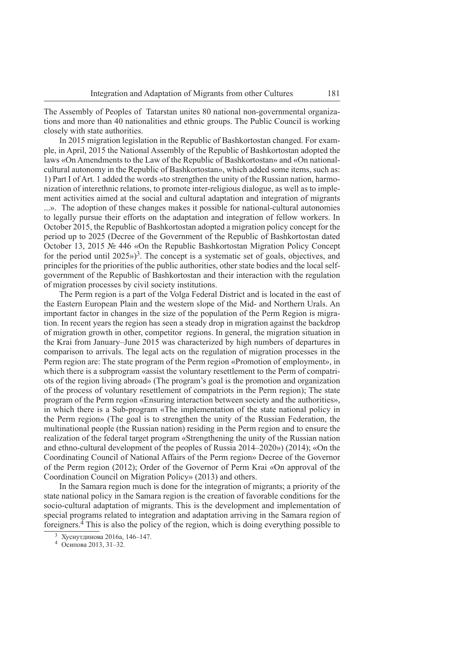The Assembly of Peoples of Tatarstan unites 80 national non-governmental organizations and more than 40 nationalities and ethnic groups. The Public Council is working closely with state authorities.

In 2015 migration legislation in the Republic of Bashkortostan changed. For example, in April, 2015 the National Assembly of the Republic of Bashkortostan adopted the laws «On Amendments to the Law of the Republic of Bashkortostan» and «On nationalcultural autonomy in the Republic of Bashkortostan», which added some items, such as: 1) Part I of Art. 1 added the words «to strengthen the unity of the Russian nation, harmonization of interethnic relations, to promote inter-religious dialogue, as well as to implement activities aimed at the social and cultural adaptation and integration of migrants ...». The adoption of these changes makes it possible for national-cultural autonomies to legally pursue their efforts on the adaptation and integration of fellow workers. In October 2015, the Republic of Bashkortostan adopted a migration policy concept for the period up to 2025 (Decree of the Government of the Republic of Bashkortostan dated October 13, 2015 № 446 «On the Republic Bashkortostan Migration Policy Concept for the period until 2025»)<sup>3</sup>. The concept is a systematic set of goals, objectives, and principles for the priorities of the public authorities, other state bodies and the local selfgovernment of the Republic of Bashkortostan and their interaction with the regulation of migration processes by civil society institutions.

The Perm region is a part of the Volga Federal District and is located in the east of the Eastern European Plain and the western slope of the Mid- and Northern Urals. An important factor in changes in the size of the population of the Perm Region is migration. In recent years the region has seen a steady drop in migration against the backdrop of migration growth in other, competitor regions. In general, the migration situation in the Krai from January–June 2015 was characterized by high numbers of departures in comparison to arrivals. The legal acts on the regulation of migration processes in the Perm region are: The state program of the Perm region «Promotion of employment», in which there is a subprogram «assist the voluntary resettlement to the Perm of compatriots of the region living abroad» (The program's goal is the promotion and organization of the process of voluntary resettlement of compatriots in the Perm region); The state program of the Perm region «Ensuring interaction between society and the authorities», in which there is a Sub-program «The implementation of the state national policy in the Perm region» (The goal is to strengthen the unity of the Russian Federation, the multinational people (the Russian nation) residing in the Perm region and to ensure the realization of the federal target program «Strengthening the unity of the Russian nation and ethno-cultural development of the peoples of Russia 2014–2020») (2014); «On the Coordinating Council of National Affairs of the Perm region» Decree of the Governor of the Perm region (2012); Order of the Governor of Perm Krai «On approval of the Coordination Council on Migration Policy» (2013) and others.

In the Samara region much is done for the integration of migrants; a priority of the state national policy in the Samara region is the creation of favorable conditions for the socio-cultural adaptation of migrants. This is the development and implementation of special programs related to integration and adaptation arriving in the Samara region of foreigners.4 This is also the policy of the region, which is doing everything possible to

<sup>3</sup>Хуснутдинова 2016а, 146–147.

<sup>4</sup>Осипова 2013, 31–32.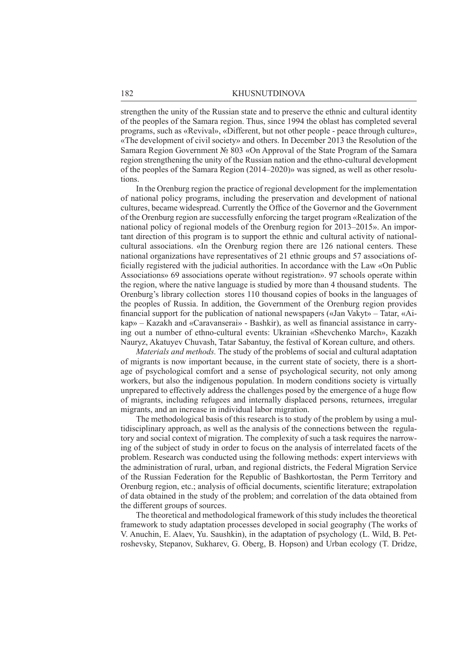strengthen the unity of the Russian state and to preserve the ethnic and cultural identity of the peoples of the Samara region. Thus, since 1994 the oblast has completed several programs, such as «Revival», «Different, but not other people - peace through culture», «The development of civil society» and others. In December 2013 the Resolution of the Samara Region Government № 803 «On Approval of the State Program of the Samara region strengthening the unity of the Russian nation and the ethno-cultural development of the peoples of the Samara Region (2014–2020)» was signed, as well as other resolutions.

In the Orenburg region the practice of regional development for the implementation of national policy programs, including the preservation and development of national cultures, became widespread. Currently the Office of the Governor and the Government of the Orenburg region are successfully enforcing the target program «Realization of the national policy of regional models of the Orenburg region for 2013–2015». An important direction of this program is to support the ethnic and cultural activity of nationalcultural associations. «In the Orenburg region there are 126 national centers. These national organizations have representatives of 21 ethnic groups and 57 associations officially registered with the judicial authorities. In accordance with the Law «On Public Associations» 69 associations operate without registration». 97 schools operate within the region, where the native language is studied by more than 4 thousand students. The Orenburg's library collection stores 110 thousand copies of books in the languages of the peoples of Russia. In addition, the Government of the Orenburg region provides financial support for the publication of national newspapers («Jan Vakyt» – Tatar, «Aikap» – Kazakh and «Caravanserai» - Bashkir), as well as financial assistance in carrying out a number of ethno-cultural events: Ukrainian «Shevchenko March», Kazakh Nauryz, Akatuyev Chuvash, Tatar Sabantuy, the festival of Korean culture, and others.

*Materials and methods.* The study of the problems of social and cultural adaptation of migrants is now important because, in the current state of society, there is a shortage of psychological comfort and a sense of psychological security, not only among workers, but also the indigenous population. In modern conditions society is virtually unprepared to effectively address the challenges posed by the emergence of a huge flow of migrants, including refugees and internally displaced persons, returnees, irregular migrants, and an increase in individual labor migration.

The methodological basis of this research is to study of the problem by using a multidisciplinary approach, as well as the analysis of the connections between the regulatory and social context of migration. The complexity of such a task requires the narrowing of the subject of study in order to focus on the analysis of interrelated facets of the problem. Research was conducted using the following methods: expert interviews with the administration of rural, urban, and regional districts, the Federal Migration Service of the Russian Federation for the Republic of Bashkortostan, the Perm Territory and Orenburg region, etc.; analysis of official documents, scientific literature; extrapolation of data obtained in the study of the problem; and correlation of the data obtained from the different groups of sources.

The theoretical and methodological framework of this study includes the theoretical framework to study adaptation processes developed in social geography (The works of V. Anuchin, E. Alaev, Yu. Saushkin), in the adaptation of psychology (L. Wild, B. Petroshevsky, Stepanov, Sukharev, G. Oberg, B. Hopson) and Urban ecology (T. Dridze,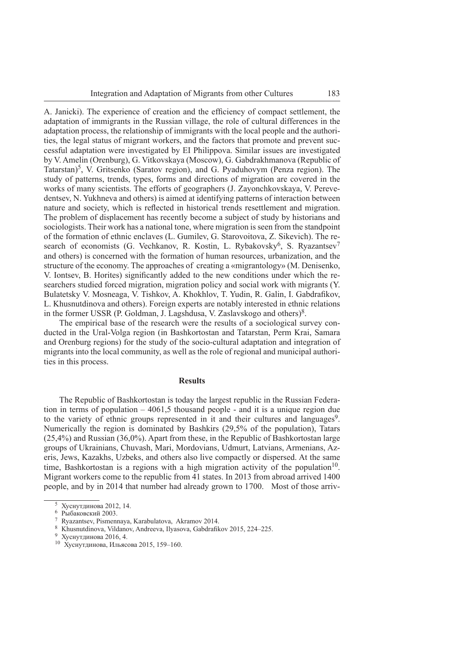A. Janicki). The experience of creation and the efficiency of compact settlement, the adaptation of immigrants in the Russian village, the role of cultural differences in the adaptation process, the relationship of immigrants with the local people and the authorities, the legal status of migrant workers, and the factors that promote and prevent successful adaptation were investigated by EI Philippova. Similar issues are investigated by V. Amelin (Orenburg), G. Vitkovskaya (Moscow), G. Gabdrakhmanova (Republic of Tatarstan)<sup>5</sup>, V. Gritsenko (Saratov region), and G. Pyaduhovym (Penza region). The study of patterns, trends, types, forms and directions of migration are covered in the works of many scientists. The efforts of geographers (J. Zayonchkovskaya, V. Perevedentsev, N. Yukhneva and others) is aimed at identifying patterns of interaction between nature and society, which is reflected in historical trends resettlement and migration. The problem of displacement has recently become a subject of study by historians and sociologists. Their work has a national tone, where migration is seen from the standpoint of the formation of ethnic enclaves (L. Gumilev, G. Starovoitova, Z. Sikevich). The research of economists (G. Vechkanov, R. Kostin, L. Rybakovsky<sup>6</sup>, S. Ryazantsev<sup>7</sup> and others) is concerned with the formation of human resources, urbanization, and the structure of the economy. The approaches of creating a «migrantology» (M. Denisenko, V. Iontsev, B. Horites) significantly added to the new conditions under which the researchers studied forced migration, migration policy and social work with migrants (Y. Bulatetsky V. Mosneaga, V. Tishkov, A. Khokhlov, T. Yudin, R. Galin, I. Gabdrafikov, L. Khusnutdinova and others). Foreign experts are notably interested in ethnic relations in the former USSR (P. Goldman, J. Lagshdusa, V. Zaslavskogo and others)8.

The empirical base of the research were the results of a sociological survey conducted in the Ural-Volga region (in Bashkortostan and Tatarstan, Perm Krai, Samara and Orenburg regions) for the study of the socio-cultural adaptation and integration of migrants into the local community, as well as the role of regional and municipal authorities in this process.

## **Results**

The Republic of Bashkortostan is today the largest republic in the Russian Federation in terms of population  $-4061,5$  thousand people - and it is a unique region due to the variety of ethnic groups represented in it and their cultures and languages<sup>9</sup>. Numerically the region is dominated by Bashkirs (29,5% of the population), Tatars (25,4%) and Russian (36,0%). Apart from these, in the Republic of Bashkortostan large groups of Ukrainians, Chuvash, Mari, Mordovians, Udmurt, Latvians, Armenians, Azeris, Jews, Kazakhs, Uzbeks, and others also live compactly or dispersed. At the same time. Bashkortostan is a regions with a high migration activity of the population<sup>10</sup>. Migrant workers come to the republic from 41 states. In 2013 from abroad arrived 1400 people, and by in 2014 that number had already grown to 1700. Most of those arriv-

<sup>5</sup>Хуснутдинова 2012, 14.

<sup>6</sup>Рыбаковский 2003.

<sup>7</sup> Ryazantsev, Pismennaya, Karabulatova, Akramov 2014.

<sup>&</sup>lt;sup>8</sup> Khusnutdinova, Vildanov, Andreeva, Ilyasova, Gabdrafikov 2015, 224–225.

<sup>9</sup>Хуснутдинова 2016, 4.

<sup>10</sup>Хуснутдинова, Ильясова 2015, 159–160.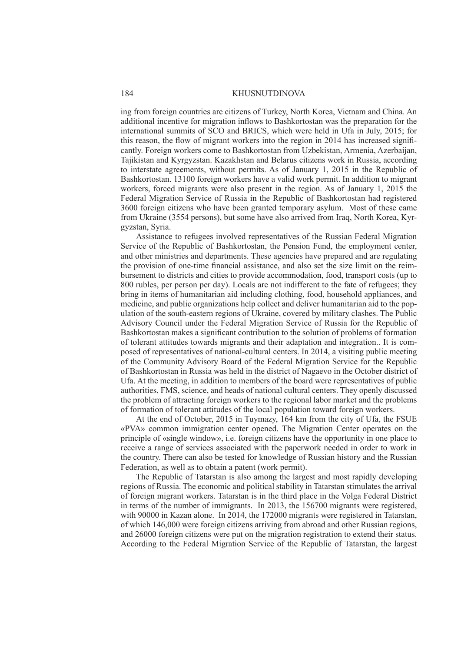ing from foreign countries are citizens of Turkey, North Korea, Vietnam and China. An additional incentive for migration inflows to Bashkortostan was the preparation for the international summits of SCO and BRICS, which were held in Ufa in July, 2015; for this reason, the flow of migrant workers into the region in 2014 has increased significantly. Foreign workers come to Bashkortostan from Uzbekistan, Armenia, Azerbaijan, Tajikistan and Kyrgyzstan. Kazakhstan and Belarus citizens work in Russia, according to interstate agreements, without permits. As of January 1, 2015 in the Republic of Bashkortostan. 13100 foreign workers have a valid work permit. In addition to migrant workers, forced migrants were also present in the region. As of January 1, 2015 the Federal Migration Service of Russia in the Republic of Bashkortostan had registered 3600 foreign citizens who have been granted temporary asylum. Most of these came from Ukraine (3554 persons), but some have also arrived from Iraq, North Korea, Kyrgyzstan, Syria.

Assistance to refugees involved representatives of the Russian Federal Migration Service of the Republic of Bashkortostan, the Pension Fund, the employment center, and other ministries and departments. These agencies have prepared and are regulating the provision of one-time financial assistance, and also set the size limit on the reimbursement to districts and cities to provide accommodation, food, transport costs (up to 800 rubles, per person per day). Locals are not indifferent to the fate of refugees; they bring in items of humanitarian aid including clothing, food, household appliances, and medicine, and public organizations help collect and deliver humanitarian aid to the population of the south-eastern regions of Ukraine, covered by military clashes. The Public Advisory Council under the Federal Migration Service of Russia for the Republic of Bashkortostan makes a significant contribution to the solution of problems of formation of tolerant attitudes towards migrants and their adaptation and integration.. It is composed of representatives of national-cultural centers. In 2014, a visiting public meeting of the Community Advisory Board of the Federal Migration Service for the Republic of Bashkortostan in Russia was held in the district of Nagaevo in the October district of Ufa. At the meeting, in addition to members of the board were representatives of public authorities, FMS, science, and heads of national cultural centers. They openly discussed the problem of attracting foreign workers to the regional labor market and the problems of formation of tolerant attitudes of the local population toward foreign workers.

At the end of October, 2015 in Tuymazy, 164 km from the city of Ufa, the FSUE «PVA» common immigration center opened. The Migration Center operates on the principle of «single window», i.e. foreign citizens have the opportunity in one place to receive a range of services associated with the paperwork needed in order to work in the country. There can also be tested for knowledge of Russian history and the Russian Federation, as well as to obtain a patent (work permit).

The Republic of Tatarstan is also among the largest and most rapidly developing regions of Russia. The economic and political stability in Tatarstan stimulates the arrival of foreign migrant workers. Tatarstan is in the third place in the Volga Federal District in terms of the number of immigrants. In 2013, the 156700 migrants were registered, with 90000 in Kazan alone. In 2014, the 172000 migrants were registered in Tatarstan, of which 146,000 were foreign citizens arriving from abroad and other Russian regions, and 26000 foreign citizens were put on the migration registration to extend their status. According to the Federal Migration Service of the Republic of Tatarstan, the largest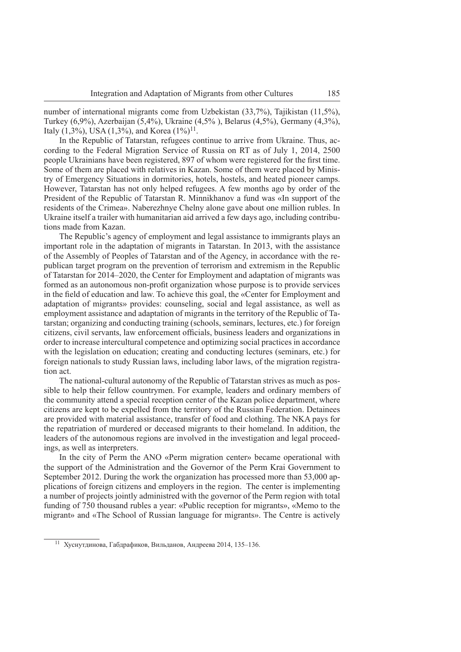number of international migrants come from Uzbekistan (33,7%), Tajikistan (11,5%), Turkey (6,9%), Azerbaijan (5,4%), Ukraine (4,5% ), Belarus (4,5%), Germany (4,3%), Italy (1,3%), USA (1,3%), and Korea  $(1\%)^{11}$ .

In the Republic of Tatarstan, refugees continue to arrive from Ukraine. Thus, according to the Federal Migration Service of Russia on RT as of July 1, 2014, 2500 people Ukrainians have been registered, 897 of whom were registered for the first time. Some of them are placed with relatives in Kazan. Some of them were placed by Ministry of Emergency Situations in dormitories, hotels, hostels, and heated pioneer camps. However, Tatarstan has not only helped refugees. A few months ago by order of the President of the Republic of Tatarstan R. Minnikhanov a fund was «In support of the residents of the Crimea». Naberezhnye Chelny alone gave about one million rubles. In Ukraine itself a trailer with humanitarian aid arrived a few days ago, including contributions made from Kazan.

The Republic's agency of employment and legal assistance to immigrants plays an important role in the adaptation of migrants in Tatarstan. In 2013, with the assistance of the Assembly of Peoples of Tatarstan and of the Agency, in accordance with the republican target program on the prevention of terrorism and extremism in the Republic of Tatarstan for 2014–2020, the Center for Employment and adaptation of migrants was formed as an autonomous non-profi t organization whose purpose is to provide services in the field of education and law. To achieve this goal, the «Center for Employment and adaptation of migrants» provides: counseling, social and legal assistance, as well as employment assistance and adaptation of migrants in the territory of the Republic of Tatarstan; organizing and conducting training (schools, seminars, lectures, etc.) for foreign citizens, civil servants, law enforcement officials, business leaders and organizations in order to increase intercultural competence and optimizing social practices in accordance with the legislation on education; creating and conducting lectures (seminars, etc.) for foreign nationals to study Russian laws, including labor laws, of the migration registration act.

The national-cultural autonomy of the Republic of Tatarstan strives as much as possible to help their fellow countrymen. For example, leaders and ordinary members of the community attend a special reception center of the Kazan police department, where citizens are kept to be expelled from the territory of the Russian Federation. Detainees are provided with material assistance, transfer of food and clothing. The NKA pays for the repatriation of murdered or deceased migrants to their homeland. In addition, the leaders of the autonomous regions are involved in the investigation and legal proceedings, as well as interpreters.

In the city of Perm the ANO «Perm migration center» became operational with the support of the Administration and the Governor of the Perm Krai Government to September 2012. During the work the organization has processed more than 53,000 applications of foreign citizens and employers in the region. The center is implementing a number of projects jointly administred with the governor of the Perm region with total funding of 750 thousand rubles a year: «Public reception for migrants», «Memo to the migrant» and «The School of Russian language for migrants». The Centre is actively

<sup>11</sup>Хуснутдинова, Габдрафиков, Вильданов, Андреева 2014, 135–136.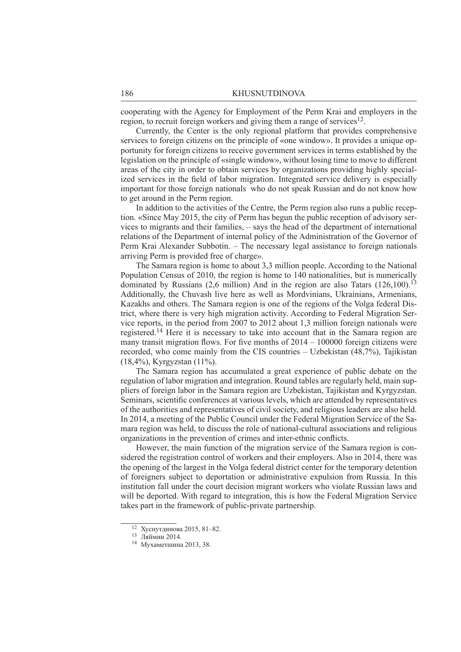cooperating with the Agency for Employment of the Perm Krai and employers in the region, to recruit foreign workers and giving them a range of services<sup>12</sup>.

Currently, the Center is the only regional platform that provides comprehensive services to foreign citizens on the principle of «one window». It provides a unique opportunity for foreign citizens to receive government services in terms established by the legislation on the principle of «single window», without losing time to move to different areas of the city in order to obtain services by organizations providing highly specialized services in the field of labor migration. Integrated service delivery is especially important for those foreign nationals who do not speak Russian and do not know how to get around in the Perm region.

In addition to the activities of the Centre, the Perm region also runs a public reception. «Since May 2015, the city of Perm has begun the public reception of advisory services to migrants and their families, – says the head of the department of international relations of the Department of internal policy of the Administration of the Governor of Perm Krai Alexander Subbotin. – The necessary legal assistance to foreign nationals arriving Perm is provided free of charge».

The Samara region is home to about 3,3 million people. According to the National Population Census of 2010, the region is home to 140 nationalities, but is numerically dominated by Russians (2,6 million) And in the region are also Tatars  $(126,100)^{13}$ Additionally, the Chuvash live here as well as Mordvinians, Ukrainians, Armenians, Kazakhs and others. The Samara region is one of the regions of the Volga federal District, where there is very high migration activity. According to Federal Migration Service reports, in the period from 2007 to 2012 about 1,3 million foreign nationals were registered.14 Here it is necessary to take into account that in the Samara region are many transit migration flows. For five months of  $2014 - 100000$  foreign citizens were recorded, who come mainly from the CIS countries – Uzbekistan (48,7%), Tajikistan (18,4%), Kyrgyzstan (11%).

The Samara region has accumulated a great experience of public debate on the regulation of labor migration and integration. Round tables are regularly held, main suppliers of foreign labor in the Samara region are Uzbekistan, Tajikistan and Kyrgyzstan. Seminars, scientific conferences at various levels, which are attended by representatives of the authorities and representatives of civil society, and religious leaders are also held. In 2014, a meeting of the Public Council under the Federal Migration Service of the Samara region was held, to discuss the role of national-cultural associations and religious organizations in the prevention of crimes and inter-ethnic conflicts.

However, the main function of the migration service of the Samara region is considered the registration control of workers and their employers. Also in 2014, there was the opening of the largest in the Volga federal district center for the temporary detention of foreigners subject to deportation or administrative expulsion from Russia. In this institution fall under the court decision migrant workers who violate Russian laws and will be deported. With regard to integration, this is how the Federal Migration Service takes part in the framework of public-private partnership.

 $12$  Хуснутдинова 2015, 81-82.

<sup>13</sup>Ляймин 2014.

<sup>14</sup>Мухаметшина 2013, 38.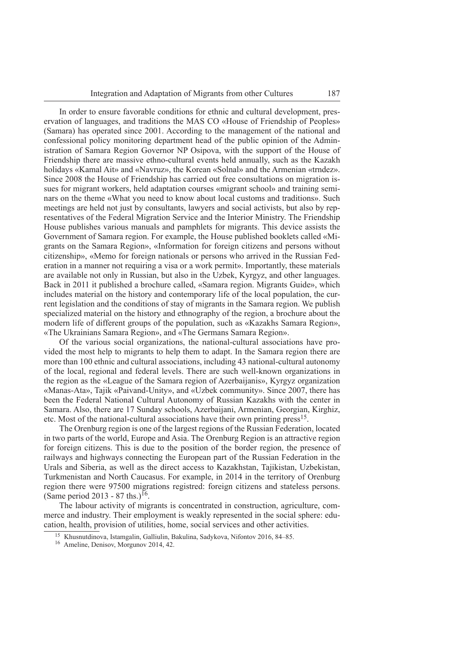In order to ensure favorable conditions for ethnic and cultural development, preservation of languages, and traditions the MAS CO «House of Friendship of Peoples» (Samara) has operated since 2001. According to the management of the national and confessional policy monitoring department head of the public opinion of the Administration of Samara Region Governor NP Osipova, with the support of the House of Friendship there are massive ethno-cultural events held annually, such as the Kazakh holidays «Kamal Ait» and «Navruz», the Korean «Solnal» and the Armenian «trndez». Since 2008 the House of Friendship has carried out free consultations on migration issues for migrant workers, held adaptation courses «migrant school» and training seminars on the theme «What you need to know about local customs and traditions». Such meetings are held not just by consultants, lawyers and social activists, but also by representatives of the Federal Migration Service and the Interior Ministry. The Friendship House publishes various manuals and pamphlets for migrants. This device assists the Government of Samara region. For example, the House published booklets called «Migrants on the Samara Region», «Information for foreign citizens and persons without citizenship», «Memo for foreign nationals or persons who arrived in the Russian Federation in a manner not requiring a visa or a work permit». Importantly, these materials are available not only in Russian, but also in the Uzbek, Kyrgyz, and other languages. Back in 2011 it published a brochure called, «Samara region. Migrants Guide», which includes material on the history and contemporary life of the local population, the current legislation and the conditions of stay of migrants in the Samara region. We publish specialized material on the history and ethnography of the region, a brochure about the modern life of different groups of the population, such as «Kazakhs Samara Region», «The Ukrainians Samara Region», and «The Germans Samara Region».

Of the various social organizations, the national-cultural associations have provided the most help to migrants to help them to adapt. In the Samara region there are more than 100 ethnic and cultural associations, including 43 national-cultural autonomy of the local, regional and federal levels. There are such well-known organizations in the region as the «League of the Samara region of Azerbaijanis», Kyrgyz organization «Manas-Ata», Tajik «Paivand-Unity», and «Uzbek community». Since 2007, there has been the Federal National Cultural Autonomy of Russian Kazakhs with the center in Samara. Also, there are 17 Sunday schools, Azerbaijani, Armenian, Georgian, Kirghiz, etc. Most of the national-cultural associations have their own printing press<sup>15</sup>.

The Orenburg region is one of the largest regions of the Russian Federation, located in two parts of the world, Europe and Asia. The Orenburg Region is an attractive region for foreign citizens. This is due to the position of the border region, the presence of railways and highways connecting the European part of the Russian Federation in the Urals and Siberia, as well as the direct access to Kazakhstan, Tajikistan, Uzbekistan, Turkmenistan and North Caucasus. For example, in 2014 in the territory of Orenburg region there were 97500 migrations registred: foreign citizens and stateless persons. (Same period 2013 - 87 ths.)<sup>16</sup>.

The labour activity of migrants is concentrated in construction, agriculture, commerce and industry. Their employment is weakly represented in the social sphere: education, health, provision of utilities, home, social services and other activities.

<sup>15</sup> Khusnutdinova, Istamgalin, Galliulin, Bakulinа, Sadykova, Nifontov 2016, 84–85.

<sup>16</sup> Ameline, Denisov, Morgunov 2014, 42.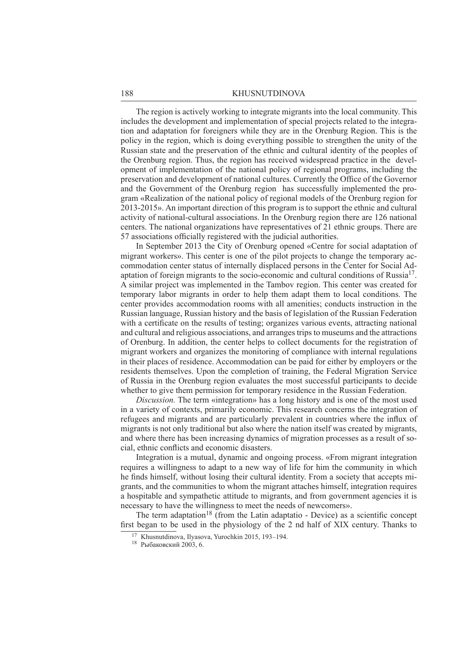The region is actively working to integrate migrants into the local community. This includes the development and implementation of special projects related to the integration and adaptation for foreigners while they are in the Orenburg Region. This is the policy in the region, which is doing everything possible to strengthen the unity of the Russian state and the preservation of the ethnic and cultural identity of the peoples of the Orenburg region. Thus, the region has received widespread practice in the development of implementation of the national policy of regional programs, including the preservation and development of national cultures. Currently the Office of the Governor and the Government of the Orenburg region has successfully implemented the program «Realization of the national policy of regional models of the Orenburg region for 2013-2015». An important direction of this program is to support the ethnic and cultural activity of national-cultural associations. In the Orenburg region there are 126 national centers. The national organizations have representatives of 21 ethnic groups. There are 57 associations officially registered with the judicial authorities.

In September 2013 the City of Orenburg opened «Centre for social adaptation of migrant workers». This center is one of the pilot projects to change the temporary accommodation center status of internally displaced persons in the Center for Social Adaptation of foreign migrants to the socio-economic and cultural conditions of Russia17. A similar project was implemented in the Tambov region. This center was created for temporary labor migrants in order to help them adapt them to local conditions. The center provides accommodation rooms with all amenities; conducts instruction in the Russian language, Russian history and the basis of legislation of the Russian Federation with a certificate on the results of testing; organizes various events, attracting national and cultural and religious associations, and arranges trips to museums and the attractions of Orenburg. In addition, the center helps to collect documents for the registration of migrant workers and organizes the monitoring of compliance with internal regulations in their places of residence. Accommodation can be paid for either by employers or the residents themselves. Upon the completion of training, the Federal Migration Service of Russia in the Orenburg region evaluates the most successful participants to decide whether to give them permission for temporary residence in the Russian Federation.

*Discussion.* The term «integration» has a long history and is one of the most used in a variety of contexts, primarily economic. This research concerns the integration of refugees and migrants and are particularly prevalent in countries where the influx of migrants is not only traditional but also where the nation itself was created by migrants, and where there has been increasing dynamics of migration processes as a result of social, ethnic conflicts and economic disasters.

Integration is a mutual, dynamic and ongoing process. «From migrant integration requires a willingness to adapt to a new way of life for him the community in which he finds himself, without losing their cultural identity. From a society that accepts migrants, and the communities to whom the migrant attaches himself, integration requires a hospitable and sympathetic attitude to migrants, and from government agencies it is necessary to have the willingness to meet the needs of newcomers».

The term adaptation<sup>18</sup> (from the Latin adaptatio - Device) as a scientific concept first began to be used in the physiology of the 2 nd half of XIX century. Thanks to

<sup>17</sup> Khusnutdinova, Ilyasova, Yurochkin 2015, 193–194.

<sup>18</sup>Рыбаковский 2003, 6.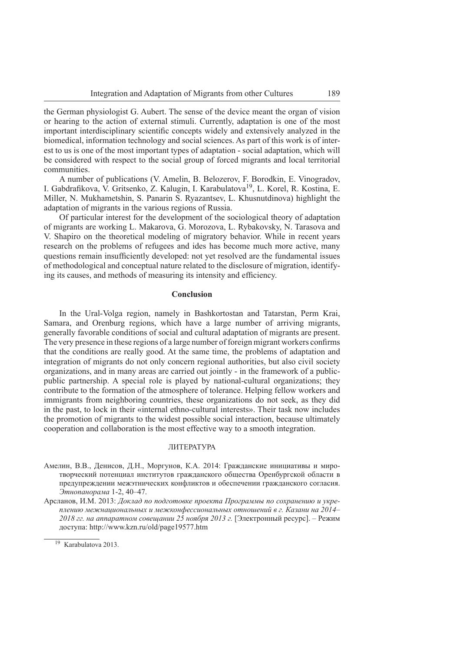the German physiologist G. Aubert. The sense of the device meant the organ of vision or hearing to the action of external stimuli. Currently, adaptation is one of the most important interdisciplinary scientific concepts widely and extensively analyzed in the biomedical, information technology and social sciences. As part of this work is of interest to us is one of the most important types of adaptation - social adaptation, which will be considered with respect to the social group of forced migrants and local territorial communities.

A number of publications (V. Amelin, B. Belozerov, F. Borodkin, E. Vinogradov, I. Gabdrafikova, V. Gritsenko, Z. Kalugin, I. Karabulatova<sup>19</sup>, L. Korel, R. Kostina, E. Miller, N. Mukhametshin, S. Panarin S. Ryazantsev, L. Khusnutdinova) highlight the adaptation of migrants in the various regions of Russia.

Of particular interest for the development of the sociological theory of adaptation of migrants are working L. Makarova, G. Morozova, L. Rybakovsky, N. Tarasova and V. Shapiro on the theoretical modeling of migratory behavior. While in recent years research on the problems of refugees and ides has become much more active, many questions remain insufficiently developed: not yet resolved are the fundamental issues of methodological and conceptual nature related to the disclosure of migration, identifying its causes, and methods of measuring its intensity and efficiency.

# **Conclusion**

In the Ural-Volga region, namely in Bashkortostan and Tatarstan, Perm Krai, Samara, and Orenburg regions, which have a large number of arriving migrants, generally favorable conditions of social and cultural adaptation of migrants are present. The very presence in these regions of a large number of foreign migrant workers confirms that the conditions are really good. At the same time, the problems of adaptation and integration of migrants do not only concern regional authorities, but also civil society organizations, and in many areas are carried out jointly - in the framework of a publicpublic partnership. A special role is played by national-cultural organizations; they contribute to the formation of the atmosphere of tolerance. Helping fellow workers and immigrants from neighboring countries, these organizations do not seek, as they did in the past, to lock in their «internal ethno-cultural interests». Their task now includes the promotion of migrants to the widest possible social interaction, because ultimately cooperation and collaboration is the most effective way to a smooth integration.

#### ЛИТЕРАТУРА

Амелин, В.В., Денисов, Д.Н., Моргунов, К.А. 2014: Гражданские инициативы и миротворческий потенциал институтов гражданского общества Оренбургской области в предупреждении межэтнических конфликтов и обеспечении гражданского согласия. *Этнопанорама* 1-2, 40–47.

Арсланов, И.М. 2013: *Доклад по подготовке проекта Программы по сохранению и укреплению межнациональных и межконфессиональных отношений в г. Казани на 2014– 2018 гг. на аппаратном совещании 25 ноября 2013 г.* [Электронный ресурс]. – Режим доступа: http://www.kzn.ru/old/page19577.htm

<sup>19</sup> Karabulatova 2013.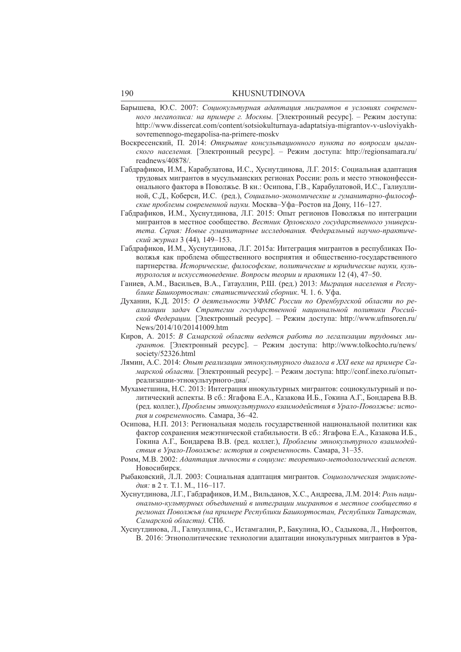- Барышева, Ю.С. 2007: *Социокультурная адаптация мигрантов в условиях современного мегаполиса: на примере г. Москвы.* [Электронный ресурс]. – Режим доступа: http://www.dissercat.com/content/sotsiokulturnaya-adaptatsiya-migrantov-v-usloviyakhsovremennogo-megapolisa-na-primere-moskv
- Воскресенский, П. 2014: *Открытие консультационного пункта по вопросам цыганского населения.* [Электронный ресурс]. – Режим доступа: http://regionsamara.ru/ readnews/40878/.
- Габдрафиков, И.М., Карабулатова, И.С., Хуснутдинова, Л.Г. 2015: Социальная адаптация трудовых мигрантов в мусульманских регионах России: роль и место этноконфессионального фактора в Поволжье. В кн.: Осипова, Г.В., Карабулатовой, И.С., Галиуллиной, С.Д., Коберси, И.С. (ред.), *Социально-экономические и гуманитарно-философские проблемы современной науки.* Москва–Уфа–Ростов на Дону, 116–127.
- Габдрафиков, И.М., Хуснутдинова, Л.Г. 2015: Опыт регионов Поволжья по интеграции мигрантов в местное сообщество. *Вестник Орловского государственного университета. Серия: Новые гуманитарные исследования. Федеральный научно-практический журнал* 3 (44)*,* 149–153.
- Габдрафиков, И.М., Хуснутдинова, Л.Г. 2015а: Интеграция мигрантов в республиках Поволжья как проблема общественного восприятия и общественно-государственного партнерства. *Исторические, философские, политические и юридические науки, культурология и искусствоведение. Вопросы теории и практики* 12 (4), 47–50.
- Ганиев, А.М., Васильев, В.А., Гатауллин, Р.Ш. (ред.) 2013: *Миграция населения в Республике Башкортостан: статистический сборник*. Ч. 1. 6. Уфа.
- Духанин, К.Д. 2015: *О деятельности УФМС России по Оренбургской области по реализации задач Стратегии государственной национальной политики Российской Федерации.* [Электронный ресурс]. – Режим доступа: http://www.ufmsoren.ru/ News/2014/10/20141009.htm
- Киров, А. 2015: *В Самарской области ведется работа по легализации трудовых мигрантов.* [Электронный ресурс]. – Режим доступа: http://www.tolkochto.ru/news/ society/52326.html
- Лямин, А.С. 2014: *Опыт реализации этнокультурного диалога в XXI веке на примере Самарской области.* [Электронный ресурс]. – Режим доступа: http://conf.inexo.ru/опытреализации-этнокультурного-диа/.
- Мухаметшина, Н.С. 2013: Интеграция инокультурных мигрантов: социокультурный и политический аспекты. В сб.: Ягафова Е.А., Казакова И.Б., Гокина А.Г., Бондарева В.В. (ред. коллег.), *Проблемы этнокультурного взаимодействия в Урало-Поволжье: история и современность.* Самара, 36–42.
- Осипова, Н.П. 2013: Региональная модель государственной национальной политики как фактор сохранения межэтнической стабильности. В сб.: Ягафова Е.А., Казакова И.Б., Гокина А.Г., Бондарева В.В. (ред. коллег.), *Проблемы этнокультурного взаимодействия в Урало-Поволжье: история и современность.* Самара, 31–35.
- Ромм, М.В. 2002: *Адаптация личности в социуме: теоретико-методологический аспект.* Новосибирск.
- Рыбаковский, Л.Л. 2003: Социальная адаптация мигрантов. *Социологическая энциклопедия:* в 2 т*.* Т.1. М., 116–117.
- Хуснутдинова, Л.Г., Габдрафиков, И.М., Вильданов, Х.С., Андреева, Л.М. 2014: *Роль национально-культурных объединений в интеграции мигрантов в местное сообщество в регионах Поволжья (на примере Республики Башкортостан, Республики Татарстан, Самарской области).* СПб.
- Хуснутдинова, Л., Галиуллина, С., Истамгалин, Р., Бакулина, Ю., Садыкова, Л., Нифонтов, В. 2016: Этнополитические технологии адаптации инокультурных мигрантов в Ура-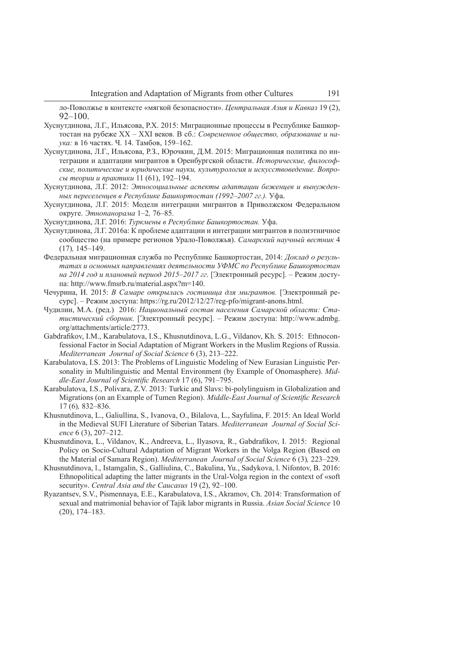ло-Поволжье в контексте «мягкой безопасности». *Центральная Азия и Кавказ* 19 (2),  $92 - 100$ .

- Хуснутдинова, Л.Г., Ильясова, Р.Х. 2015: Миграционные процессы в Республике Башкортостан на рубеже XX – XXI веков. В сб.: *Современное общество, образование и наука:* в 16 частях. Ч. 14. Тамбов, 159–162.
- Хуснутдинова, Л.Г., Ильясова, Р.З., Юрочкин, Д.М. 2015: Миграционная политика по интеграции и адаптации мигрантов в Оренбургской области. *Исторические, философские, политические и юридические науки, культурология и искусствоведение. Вопросы теории и практики* 11 (61), 192–194.
- Хуснутдинова, Л.Г. 2012: *Этносоциальные аспекты адаптации беженцев и вынужденных переселенцев в Республике Башкортостан (1992–2007 гг.).* Уфа.
- Хуснутдинова, Л.Г. 2015: Модели интеграции мигрантов в Приволжском Федеральном округе. *Этнопанорама* 1–2*,* 76–85.
- Хуснутдинова, Л.Г. 2016: *Туркмены в Республике Башкортостан.* Уфа.
- Хуснутдинова, Л.Г. 2016а: К проблеме адаптации и интеграции мигрантов в полиэтничное сообщество (на примере регионов Урало-Поволжья). *Самарский научный вестник* 4 (17)*,* 145–149.
- Федеральная миграционная служба по Республике Башкортостан, 2014: *Доклад о результатах и основных направлениях деятельности УФМС по Республике Башкортостан на 2014 год и плановый период 2015–2017 гг*. [Электронный ресурс]. – Режим доступа: http://www.fmsrb.ru/material.aspx?m=140.
- Чечурина, И. 2015: *В Самаре открылась гостиница для мигрантов.* [Электронный ресурс]. – Режим доступа: https://rg.ru/2012/12/27/reg-pfo/migrant-anons.html.
- Чудилин, М.А. (ред.) 2016: *Национальный состав населения Самарской области: Статистический сборник.* [Электронный ресурс]. – Режим доступа: http://www.admbg. org/attachments/article/2773.
- Gabdrafikov, I.M., Karabulatova, I.S., Khusnutdinova, L.G., Vildanov, Kh. S. 2015: Ethnoconfessional Factor in Social Adaptation of Migrant Workers in the Muslim Regions of Russia. *Mediterranean Journal of Social Science* 6 (3), 213–222.
- Karabulatova, I.S. 2013: The Problems of Linguistic Modeling of New Eurasian Linguistic Personality in Multilinguistic and Mental Environment (by Example of Onomasphere). *Middle-East Journal of Scientific Research 17 (6), 791–795.*
- Karabulatova, I.S., Polivara, Z.V. 2013: Turkic and Slavs: bi-polylinguism in Globalization and Migrations (on an Example of Tumen Region). *Middle-East Journal of Scientific Research* 17 (6)*,* 832–836.
- Khusnutdinova, L., Galiullina, S., Ivanova, O., Bilalova, L., Sayfulina, F. 2015: An Ideal World in the Medieval SUFI Literature of Siberian Tatars. *Mediterranean Journal of Social Science* 6 (3), 207–212.
- Khusnutdinova, L., Vildanov, K., Andreeva, L., Ilyasova, R., Gabdrafikov, I. 2015: Regional Policy on Socio-Cultural Adaptation of Migrant Workers in the Volga Region (Based on the Material of Samara Region). *Mediterranean Journal of Social Science* 6 (3)*,* 223–229.
- Khusnutdinova, l., Istamgalin, S., Galliulina, C., Bakulina, Yu., Sadykova, l. Nifontov, B. 2016: Ethnopolitical adapting the latter migrants in the Ural-Volga region in the context of «soft security». *Central Asia and the Caucasus* 19 (2), 92–100.
- Ryazantsev, S.V., Pismennaya, E.E., Karabulatova, I.S., Akramov, Ch. 2014: Transformation of sexual and matrimonial behavior of Tajik labor migrants in Russia. *Asian Social Science* 10 (20), 174–183.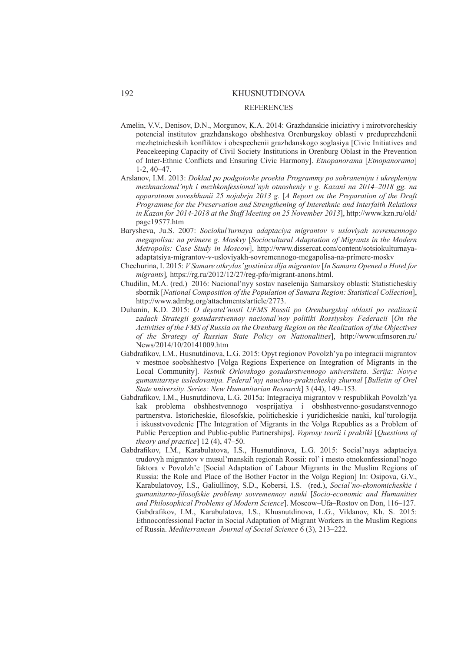#### **REFERENCES**

- Amelin, V.V., Denisov, D.N., Morgunov, K.A. 2014: Grazhdanskie iniciativy i mirotvorcheskiy potencial institutov grazhdanskogo obshhestva Orenburgskoy oblasti v preduprezhdenii mezhetnicheskih konfliktov i obespechenii grazhdanskogo soglasiya [Civic Initiatives and Peacekeeping Capacity of Civil Society Institutions in Orenburg Oblast in the Prevention of Inter-Ethnic Conflicts and Ensuring Civic Harmony]. *Etnopanorama* [*Etnopanorama*] 1-2, 40–47.
- Arslanov, I.M. 2013: *Doklad po podgotovke proekta Programmy po sohraneniyu i ukrepleniyu mezhnacional'nyh i mezhkonfessional'nyh otnosheniy v g. Kazani na 2014–2018 gg. na apparatnom soveshhanii 25 nojabrja 2013 g.* [*A Report on the Preparation of the Draft Programme for the Preservation and Strengthening of Interethnic and Interfaith Relations in Kazan for 2014-2018 at the Staff Meeting on 25 November 2013*], http://www.kzn.ru/old/ page19577.htm
- Barysheva, Ju.S. 2007: *Sociokul'turnaya adaptaciya migrantov v usloviyah sovremennogo megapolisa: na primere g. Moskvy* [*Sociocultural Adaptation of Migrants in the Modern Metropolis: Case Study in Moscow*], http://www.dissercat.com/content/sotsiokulturnayaadaptatsiya-migrantov-v-usloviyakh-sovremennogo-megapolisa-na-primere-moskv
- Chechurina, I. 2015: *V Samare otkrylas' gostinica dlja migrantov* [*In Samara Opened a Hotel for migrants*]*,* https://rg.ru/2012/12/27/reg-pfo/migrant-anons.html.
- Chudilin, M.A. (red.) 2016: Nacional'nyy sostav naselenija Samarskoy oblasti: Statisticheskiy sbornik [*National Composition of the Population of Samara Region: Statistical Collection*], http://www.admbg.org/attachments/article/2773.
- Duhanin, K.D. 2015: *O deyatel'nosti UFMS Rossii po Orenburgskoj oblasti po realizacii zadach Strategii gosudarstvennoy nacional'noy politiki Rossiyskoy Federacii* [*On the Activities of the FMS of Russia on the Orenburg Region on the Realization of the Objectives of the Strategy of Russian State Policy on Nationalities*], http://www.ufmsoren.ru/ News/2014/10/20141009.htm
- Gabdrafikov, I.M., Husnutdinova, L.G. 2015: Opyt regionov Povolzh'ya po integracii migrantov v mestnoe soobshhestvo [Volga Regions Experience on Integration of Migrants in the Local Community]. *Vestnik Orlovskogo gosudarstvennogo universiteta. Serija: Novye gumanitarnye issledovanija. Federal'nyj nauchno-prakticheskiy zhurnal* [*Bulletin of Orel State university. Series: New Humanitarian Research*] 3 (44), 149–153.
- Gabdrafi kov, I.M., Husnutdinova, L.G. 2015a: Integraciya migrantov v respublikah Povolzh'ya kak problema obshhestvennogo vosprijatiya i obshhestvenno-gosudarstvennogo partnerstva. Istoricheskie, filosofskie, politicheskie i yuridicheskie nauki, kul'turologija i iskusstvovedenie [The Integration of Migrants in the Volga Republics as a Problem of Public Perception and Public-public Partnerships]. *Voprosy teorii i praktiki* [*Questions of theory and practice*] 12 (4), 47–50.
- Gabdrafikov, I.M., Karabulatova, I.S., Husnutdinova, L.G. 2015: Social'naya adaptaciya trudovyh migrantov v musul'manskih regionah Rossii: rol' i mesto etnokonfessional'nogo faktora v Povolzh'e [Social Adaptation of Labour Migrants in the Muslim Regions of Russia: the Role and Place of the Bother Factor in the Volga Region] In: Osipova, G.V., Karabulatovoy, I.S., Galiullinoy, S.D., Kobersi, I.S. (red.), *Social'no-ekonomicheskie i gumanitarno-fi losofskie problemy sovremennoy nauki* [*Socio-economic and Humanities and Philosophical Problems of Modern Science*]. Moscow–Ufa–Rostov on Don, 116–127. Gabdrafikov, I.M., Karabulatova, I.S., Khusnutdinova, L.G., Vildanov, Kh. S. 2015: Ethnoconfessional Factor in Social Adaptation of Migrant Workers in the Muslim Regions of Russia. *Mediterranean Journal of Social Science* 6 (3), 213–222.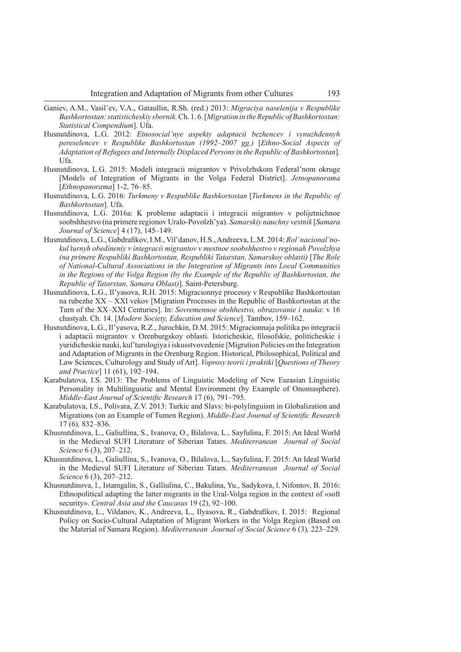- Ganiev, A.M., Vasil'ev, V.A., Gataullin, R.Sh. (red.) 2013: *Migraciya naselenija v Respublike Bashkortostan: statisticheskiy sbornik.* Ch. 1. 6. [*Migration in the Republic of Bashkortostan: Statistical Compendium*]. Ufa.
- Husnutdinova, L.G. 2012: *Etnosocial'nye aspekty adaptacii bezhencev i vynuzhdennyh pereselencev v Respublike Bashkortostan (1992–2007 gg.)* [*Ethno-Social Aspects of Adaptation of Refugees and Internally Displaced Persons in the Republic of Bashkortostan*]*.* Ufa.
- Husnutdinova, L.G. 2015: Modeli integracii migrantov v Privolzhskom Federal'nom okruge [Models of Integration of Migrants in the Volga Federal District]. *Jetnopanorama* [*Ethnopanorama*] 1-2, 76–85.
- Husnutdinova, L.G. 2016: *Turkmeny v Respublike Bashkortostan* [*Turkmens in the Republic of Bashkortostan*]. Ufa.
- Husnutdinova, L.G. 2016a: K probleme adaptacii i integracii migrantov v polijetnichnoe soobshhestvo (na primere regionov Uralo-Povolzh'ya). *Samarskiy nauchny vestnik* [*Samara Journal of Science*] 4 (17), 145–149.
- Husnutdinova, L.G., Gabdrafi kov, I.M., Vil'danov, H.S., Andreeva, L.M. 2014: *Rol' nacional'nokul'turnyh obedineniy v integracii migrantov v mestnoe soobshhestvo v regionah Povolzhya (na primere Respubliki Bashkortostan, Respubliki Tatarstan, Samarskoy oblasti)* [*The Role of National-Cultural Associations in the Integration of Migrants into Local Communities in the Regions of the Volga Region (by the Example of the Republic of Bashkortostan, the Republic of Tatarstan, Samara Oblast)*]. Saint-Petersburg.
- Husnutdinova, L.G., Il'yasova, R.H. 2015: Migracionnye processy v Respublike Bashkortostan na rubezhe XX – XXI vekov [Migration Processes in the Republic of Bashkortostan at the Turn of the XX–XXI Centuries]. In: *Sovremennoe obshhestvo, obrazovanie i nauka*: v 16 chastyah. Ch. 14. [*Modern Society, Education and Science*]. Tambov, 159–162.
- Husnutdinova, L.G., Il'yasova, R.Z., Jurochkin, D.M. 2015: Migracionnaja politika po integracii i adaptacii migrantov v Orenburgskoy oblasti. Istoricheskie, filosofskie, politicheskie i yuridicheskie nauki, kul'turologiya i iskusstvovedenie [Migration Policies on the Integration and Adaptation of Migrants in the Orenburg Region. Historical, Philosophical, Political and Law Sciences, Culturology and Study of Art]. *Voprosy teorii i praktiki* [*Questions of Theory and Practice*] 11 (61), 192–194.
- Karabulatova, I.S. 2013: The Problems of Linguistic Modeling of New Eurasian Linguistic Personality in Multilinguistic and Mental Environment (by Example of Onomasphere). *Middle-East Journal of Scientific Research 17 (6), 791–795.*
- Karabulatova, I.S., Polivara, Z.V. 2013: Turkic and Slavs: bi-polylinguism in Globalization and Migrations (on an Example of Tumen Region). *Middle-East Journal of Scientific Research* 17 (6)*,* 832–836.
- Khusnutdinova, L., Galiullina, S., Ivanova, O., Bilalova, L., Sayfulina, F. 2015: An Ideal World in the Medieval SUFI Literature of Siberian Tatars. *Mediterranean Journal of Social Science* 6 (3), 207–212.
- Khusnutdinova, L., Galiullina, S., Ivanova, O., Bilalova, L., Sayfulina, F. 2015: An Ideal World in the Medieval SUFI Literature of Siberian Tatars. *Mediterranean Journal of Social Science* 6 (3), 207–212.
- Khusnutdinova, l., Istamgalin, S., Galliulina, C., Bakulina, Yu., Sadykova, l. Nifontov, B. 2016: Ethnopolitical adapting the latter migrants in the Ural-Volga region in the context of «soft security». *Central Asia and the Caucasus* 19 (2), 92–100.
- Khusnutdinova, L., Vildanov, K., Andreeva, L., Ilyasova, R., Gabdrafikov, I. 2015: Regional Policy on Socio-Cultural Adaptation of Migrant Workers in the Volga Region (Based on the Material of Samara Region). *Mediterranean Journal of Social Science* 6 (3)*,* 223–229.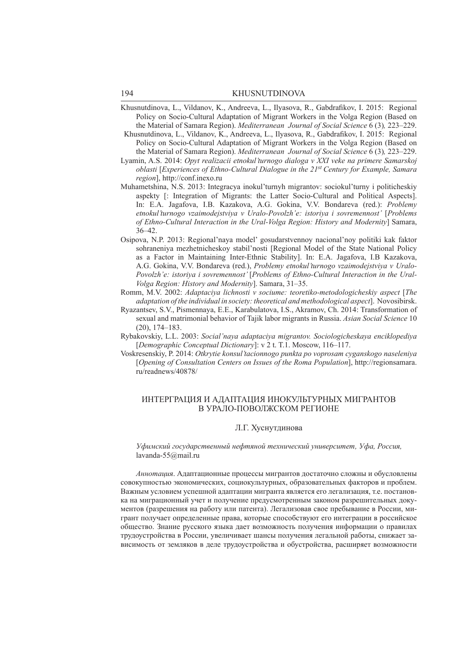- Khusnutdinova, L., Vildanov, K., Andreeva, L., Ilyasova, R., Gabdrafikov, I. 2015: Regional Policy on Socio-Cultural Adaptation of Migrant Workers in the Volga Region (Based on the Material of Samara Region). *Mediterranean Journal of Social Science* 6 (3)*,* 223–229.
- Khusnutdinova, L., Vildanov, K., Andreeva, L., Ilyasova, R., Gabdrafikov, I. 2015: Regional Policy on Socio-Cultural Adaptation of Migrant Workers in the Volga Region (Based on the Material of Samara Region). *Mediterranean Journal of Social Science* 6 (3)*,* 223–229.
- Lyamin, A.S. 2014: *Opyt realizacii etnokul'turnogo dialoga v XXI veke na primere Samarskoj oblasti* [*Experiences of Ethno-Cultural Dialogue in the 21st Century for Example, Samara region*], http://conf.inexo.ru
- Muhametshina, N.S. 2013: Integracya inokul'turnyh migrantov: sociokul'turny i politicheskiy aspekty [: Integration of Migrants: the Latter Socio-Cultural and Political Aspects]. In: E.A. Jagafova, I.B. Kazakova, A.G. Gokina, V.V. Bondareva (red.): *Problemy etnokul'turnogo vzaimodejstviya v Uralo-Povolzh'e: istoriya i sovremennost'* [*Problems of Ethno-Cultural Interaction in the Ural-Volga Region: History and Modernity*] Samara, 36–42.
- Osipova, N.P. 2013: Regional'naya model' gosudarstvennoy nacional'noy politiki kak faktor sohraneniya mezhetnicheskoy stabil'nosti [Regional Model of the State National Policy as a Factor in Maintaining Inter-Ethnic Stability]. In: E.A. Jagafova, I.B Kazakova, A.G. Gokina, V.V. Bondareva (red.), *Problemy etnokul'turnogo vzaimodejstviya v Uralo-Povolzh'e: istoriya i sovremennost'* [*Problems of Ethno-Cultural Interaction in the Ural-Volga Region: History and Modernity*]. Samara, 31–35.
- Romm, M.V. 2002: *Adaptaciya lichnosti v sociume: teoretiko-metodologicheskiy aspect* [*The adaptation of the individual in society: theoretical and methodological aspect*]. Novosibirsk.
- Ryazantsev, S.V., Pismennaya, E.E., Karabulatova, I.S., Akramov, Ch. 2014: Transformation of sexual and matrimonial behavior of Tajik labor migrants in Russia. *Asian Social Science* 10 (20), 174–183.
- Rybakovskiy, L.L. 2003: *Social'naya adaptaciya migrantov. Sociologicheskaya enciklopediya*  [*Demographic Conceptual Dictionary*]: v 2 t. T.1. Moscow, 116–117.
- Voskresenskiy, P. 2014: *Otkrytie konsul'tacionnogo punkta po voprosam cyganskogo naseleniya* [*Opening of Consultation Centers on Issues of the Roma Population*], http://regionsamara. ru/readnews/40878/

### ИНТЕРГРАЦИЯ И АДАПТАЦИЯ ИНОКУЛЬТУРНЫХ МИГРАНТОВ В УРАЛО-ПОВОЛЖСКОМ РЕГИОНЕ

### Л.Г. Хуснутдинова

### *Уфимский государственный нефтяной технический университет, Уфа, Россия,* lavanda-55@mail.ru

*Аннотация*. Адаптационные процессы мигрантов достаточно сложны и обусловлены совокупностью экономических, социокультурных, образовательных факторов и проблем. Важным условием успешной адаптации мигранта является его легализация, т.е. постановка на миграционный учет и получение предусмотренным законом разрешительных документов (разрешения на работу или патента). Легализовав свое пребывание в России, мигрант получает определенные права, которые способствуют его интеграции в российское общество. Знание русского языка дает возможность получения информации о правилах трудоустройства в России, увеличивает шансы получения легальной работы, снижает зависимость от земляков в деле трудоустройства и обустройства, расширяет возможности